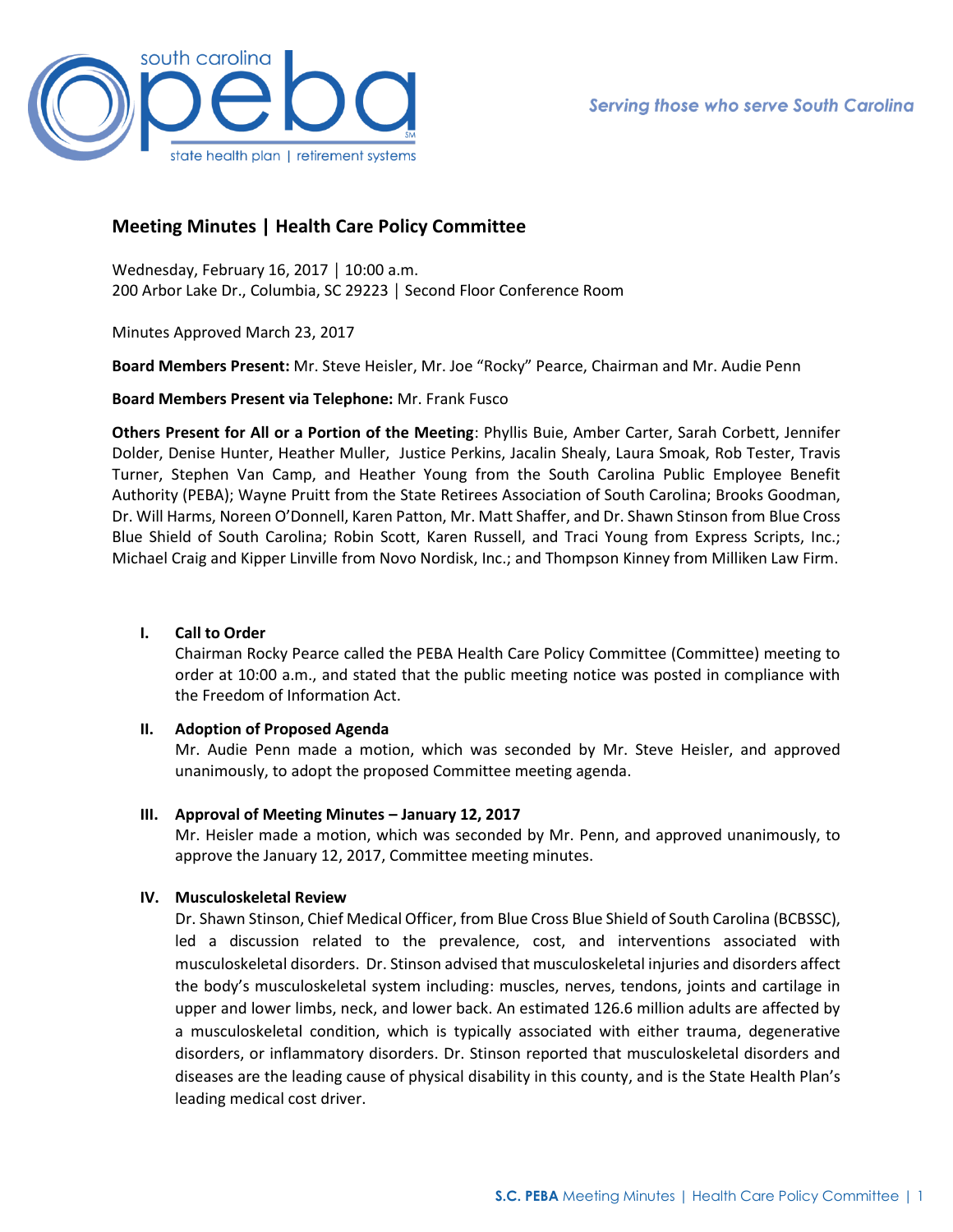

# **Meeting Minutes | Health Care Policy Committee**

Wednesday, February 16, 2017 │ 10:00 a.m. 200 Arbor Lake Dr., Columbia, SC 29223 │ Second Floor Conference Room

Minutes Approved March 23, 2017

**Board Members Present:** Mr. Steve Heisler, Mr. Joe "Rocky" Pearce, Chairman and Mr. Audie Penn

**Board Members Present via Telephone:** Mr. Frank Fusco

**Others Present for All or a Portion of the Meeting**: Phyllis Buie, Amber Carter, Sarah Corbett, Jennifer Dolder, Denise Hunter, Heather Muller, Justice Perkins, Jacalin Shealy, Laura Smoak, Rob Tester, Travis Turner, Stephen Van Camp, and Heather Young from the South Carolina Public Employee Benefit Authority (PEBA); Wayne Pruitt from the State Retirees Association of South Carolina; Brooks Goodman, Dr. Will Harms, Noreen O'Donnell, Karen Patton, Mr. Matt Shaffer, and Dr. Shawn Stinson from Blue Cross Blue Shield of South Carolina; Robin Scott, Karen Russell, and Traci Young from Express Scripts, Inc.; Michael Craig and Kipper Linville from Novo Nordisk, Inc.; and Thompson Kinney from Milliken Law Firm.

# **I. Call to Order**

Chairman Rocky Pearce called the PEBA Health Care Policy Committee (Committee) meeting to order at 10:00 a.m., and stated that the public meeting notice was posted in compliance with the Freedom of Information Act.

### **II. Adoption of Proposed Agenda**

Mr. Audie Penn made a motion, which was seconded by Mr. Steve Heisler, and approved unanimously, to adopt the proposed Committee meeting agenda.

# **III. Approval of Meeting Minutes – January 12, 2017**

Mr. Heisler made a motion, which was seconded by Mr. Penn, and approved unanimously, to approve the January 12, 2017, Committee meeting minutes.

# **IV. Musculoskeletal Review**

Dr. Shawn Stinson, Chief Medical Officer, from Blue Cross Blue Shield of South Carolina (BCBSSC), led a discussion related to the prevalence, cost, and interventions associated with musculoskeletal disorders. Dr. Stinson advised that musculoskeletal injuries and disorders affect the body's musculoskeletal system including: muscles, nerves, tendons, joints and cartilage in upper and lower limbs, neck, and lower back. An estimated 126.6 million adults are affected by a musculoskeletal condition, which is typically associated with either trauma, degenerative disorders, or inflammatory disorders. Dr. Stinson reported that musculoskeletal disorders and diseases are the leading cause of physical disability in this county, and is the State Health Plan's leading medical cost driver.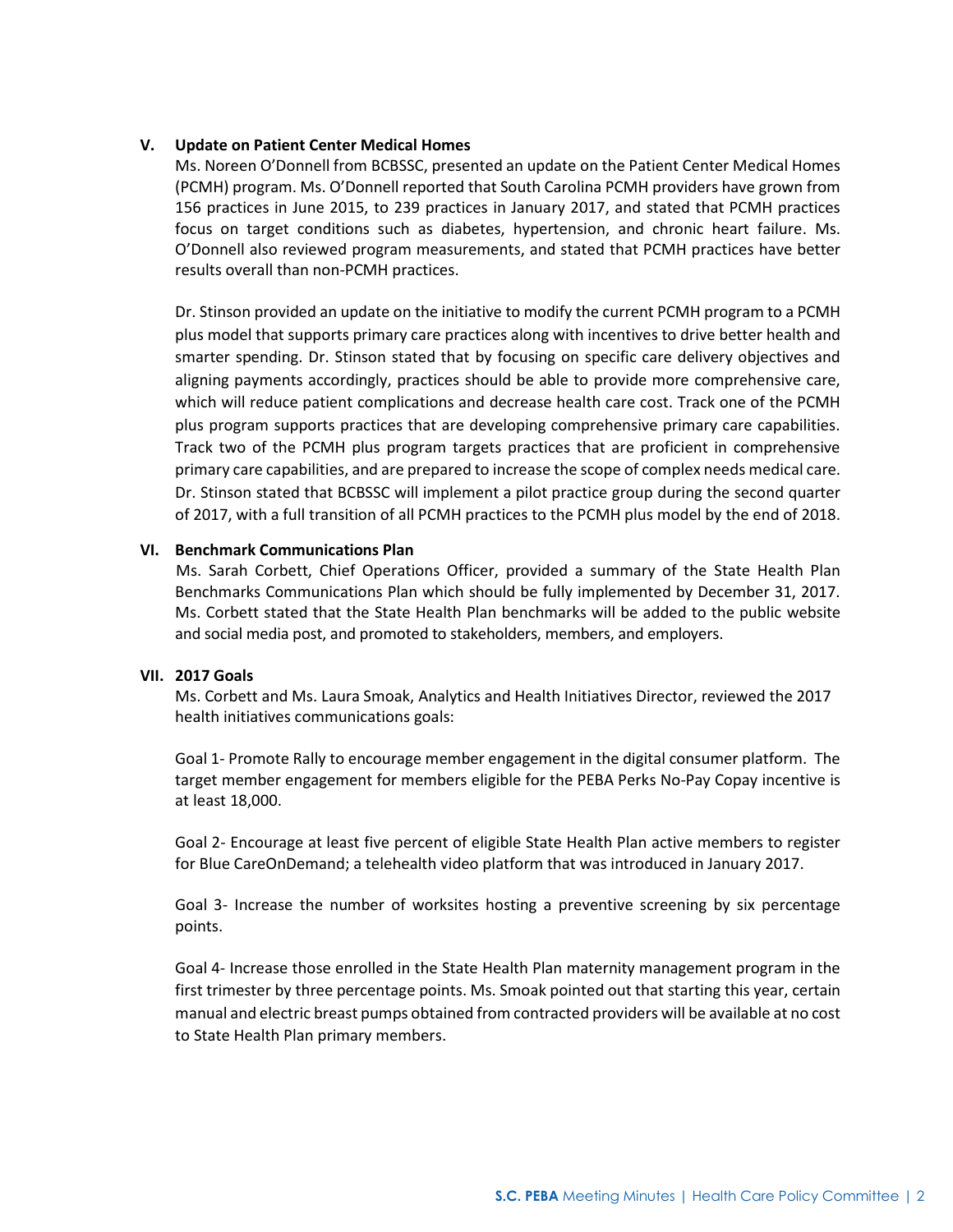## **V. Update on Patient Center Medical Homes**

Ms. Noreen O'Donnell from BCBSSC, presented an update on the Patient Center Medical Homes (PCMH) program. Ms. O'Donnell reported that South Carolina PCMH providers have grown from 156 practices in June 2015, to 239 practices in January 2017, and stated that PCMH practices focus on target conditions such as diabetes, hypertension, and chronic heart failure. Ms. O'Donnell also reviewed program measurements, and stated that PCMH practices have better results overall than non-PCMH practices.

Dr. Stinson provided an update on the initiative to modify the current PCMH program to a PCMH plus model that supports primary care practices along with incentives to drive better health and smarter spending. Dr. Stinson stated that by focusing on specific care delivery objectives and aligning payments accordingly, practices should be able to provide more comprehensive care, which will reduce patient complications and decrease health care cost. Track one of the PCMH plus program supports practices that are developing comprehensive primary care capabilities. Track two of the PCMH plus program targets practices that are proficient in comprehensive primary care capabilities, and are prepared to increase the scope of complex needs medical care. Dr. Stinson stated that BCBSSC will implement a pilot practice group during the second quarter of 2017, with a full transition of all PCMH practices to the PCMH plus model by the end of 2018.

### **VI. Benchmark Communications Plan**

Ms. Sarah Corbett, Chief Operations Officer, provided a summary of the State Health Plan Benchmarks Communications Plan which should be fully implemented by December 31, 2017. Ms. Corbett stated that the State Health Plan benchmarks will be added to the public website and social media post, and promoted to stakeholders, members, and employers.

# **VII. 2017 Goals**

Ms. Corbett and Ms. Laura Smoak, Analytics and Health Initiatives Director, reviewed the 2017 health initiatives communications goals:

Goal 1- Promote Rally to encourage member engagement in the digital consumer platform. The target member engagement for members eligible for the PEBA Perks No-Pay Copay incentive is at least 18,000.

Goal 2- Encourage at least five percent of eligible State Health Plan active members to register for Blue CareOnDemand; a telehealth video platform that was introduced in January 2017.

Goal 3- Increase the number of worksites hosting a preventive screening by six percentage points.

Goal 4- Increase those enrolled in the State Health Plan maternity management program in the first trimester by three percentage points. Ms. Smoak pointed out that starting this year, certain manual and electric breast pumps obtained from contracted providers will be available at no cost to State Health Plan primary members.